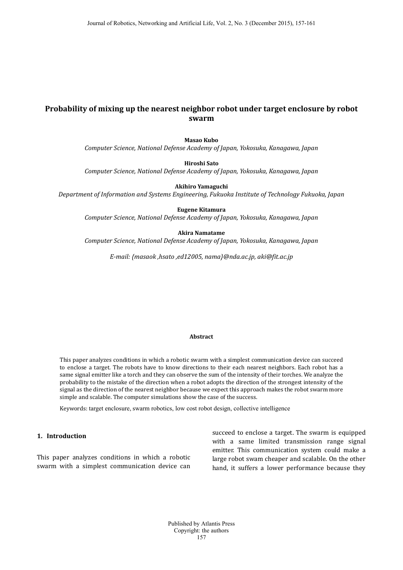# **Probability of mixing up the nearest neighbor robot under target enclosure by robot swarm**

**Masao Kubo**

*Computer Science, National Defense Academy of Japan, Yokosuka, Kanagawa, Japan*

**Hiroshi Sato**

*Computer Science, National Defense Academy of Japan, Yokosuka, Kanagawa, Japan*

**Akihiro Yamaguchi**

*Department of Information and Systems Engineering, Fukuoka Institute of Technology Fukuoka, Japan*

**Eugene Kitamura** 

*Computer Science, National Defense Academy of Japan, Yokosuka, Kanagawa, Japan*

#### **Akira Namatame**

*Computer Science, National Defense Academy of Japan, Yokosuka, Kanagawa, Japan*

*E-mail: {masaok ,hsato ,ed12005, nama}@nda.ac.jp, aki@fit.ac.jp*

# **Abstract**

This paper analyzes conditions in which a robotic swarm with a simplest communication device can succeed to enclose a target. The robots have to know directions to their each nearest neighbors. Each robot has a same signal emitter like a torch and they can observe the sum of the intensity of their torches. We analyze the probability to the mistake of the direction when a robot adopts the direction of the strongest intensity of the signal as the direction of the nearest neighbor because we expect this approach makes the robot swarm more simple and scalable. The computer simulations show the case of the success.

Keywords: target enclosure, swarm robotics, low cost robot design, collective intelligence

### **1. Introduction**

This paper analyzes conditions in which a robotic swarm with a simplest communication device can

succeed to enclose a target. The swarm is equipped with a same limited transmission range signal emitter. This communication system could make a large robot swam cheaper and scalable. On the other hand, it suffers a lower performance because they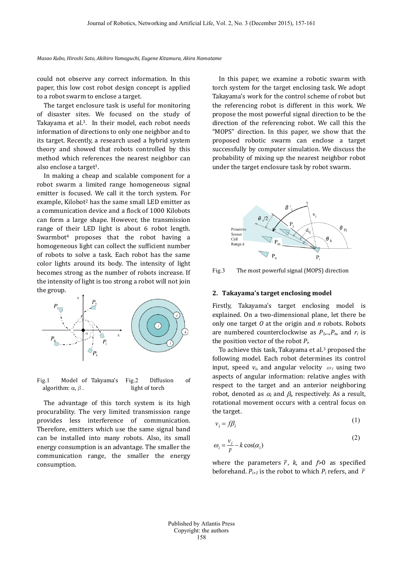*Masao Kubo, Hiroshi Sato, Akihiro Yamaguchi, Eugene Kitamura, Akira Namatame*

could not observe any correct information. In this paper, this low cost robot design concept is applied to a robot swarm to enclose a target.

The target enclosure task is useful for monitoring of disaster sites. We focused on the study of Takayama et al.3. In their model, each robot needs information of directions to only one neighbor and to its target. Recently, a research used a hybrid system theory and showed that robots controlled by this method which references the nearest neighbor can also enclose a target<sup>1</sup>.

In making a cheap and scalable component for a robot swarm a limited range homogeneous signal emitter is focused. We call it the torch system. For example, Kilobot<sup>2</sup> has the same small LED emitter as a communication device and a flock of 1000 Kilobots can form a large shape. However, the transmission range of their LED light is about 6 robot length. Swarmbot<sup>4</sup> proposes that the robot having a homogeneous light can collect the sufficient number of robots to solve a task. Each robot has the same color lights around its body. The intensity of light becomes strong as the number of robots increase. If the intensity of light is too strong a robot will not join the group.



<span id="page-1-0"></span>Fig.1 Model of Takyama's algorithm:  $\alpha$ ,  $\beta$ . Fig.2 Diffusion of light of torch

The advantage of this torch system is its high procurability. The very limited transmission range provides less interference of communication. Therefore, emitters which use the same signal band can be installed into many robots. Also, its small energy consumption is an advantage. The smaller the communication range, the smaller the energy consumption.

In this paper, we examine a robotic swarm with torch system for the target enclosing task. We adopt Takayama's work for the control scheme of robot but the referencing robot is different in this work. We propose the most powerful signal direction to be the direction of the referencing robot. We call this the "MOPS" direction. In this paper, we show that the proposed robotic swarm can enclose a target successfully by computer simulation. We discuss the probability of mixing up the nearest neighbor robot under the target enclosure task by robot swarm.



<span id="page-1-1"></span>Fig.3 The most powerful signal (MOPS) direction

## **2. Takayama's target enclosing model**

Firstly, Takayama's target enclosing model is explained. On a two-dimensional plane, let there be only one target *O* at the origin and *n* robots. Robots are numbered counterclockwise as  $P_1, P_n$ , and  $r_i$  is the position vector of the robot *Pi*.

To achieve this task, Takayama et al.<sup>3</sup> proposed the following model. Each robot determines its control input, speed  $v_i$ , and angular velocity  $\omega_i$  using two aspects of angular information: relative angles with respect to the target and an anterior neighboring robot, denoted as  $\alpha_i$  and  $\beta_i$ , respectively. As a result, rotational movement occurs with a central focus on the target.

$$
v_i = f\beta_i \tag{1}
$$

$$
\omega_i = \frac{v_i}{\bar{r}} - k \cos(\alpha_i)
$$
 (2)

where the parameters  $\bar{r}$ , k, and  $\bar{r}$  as specified beforehand.  $P_{i+1}$  is the robot to which  $P_i$  refers, and  $\bar{r}$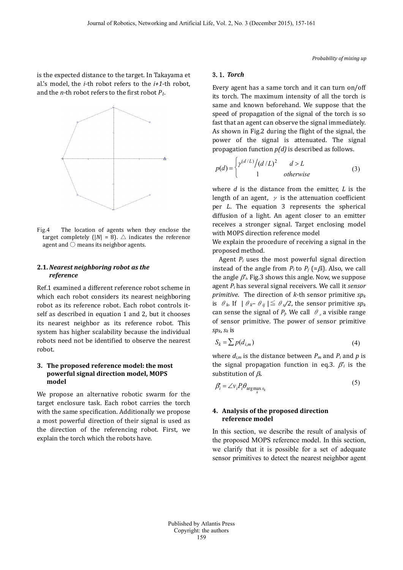is the expected distance to the target. In Takayama et al.'s model, the *i*-th robot refers to the *i+1*-th robot, and the *n*-th robot refers to the first robot *P1*.



Fig.4 The location of agents when they enclose the target completely ( $|N| = 8$ ).  $\triangle$  indicates the reference agent and  $\bigcirc$  means its neighbor agents.

#### **2.1.** *Nearest neighboring robot as the reference*

Re[f.1](#page-4-0) examined a different reference robot scheme in which each robot considers its nearest neighboring robot as its reference robot. Each robot controls itself as described in equation 1 and 2, but it chooses its nearest neighbor as its reference robot. This system has higher scalability because the individual robots need not be identified to observe the nearest robot.

### **3. The proposed reference model: the most powerful signal direction model, MOPS model**

We propose an alternative robotic swarm for the target enclosure task. Each robot carries the torch with the same specification. Additionally we propose a most powerful direction of their signal is used as the direction of the referencing robot. First, we explain the torch which the robots have.

#### 3.1. *Torch*

Every agent has a same torch and it can turn on/off its torch. The maximum intensity of all the torch is same and known beforehand. We suppose that the speed of propagation of the signal of the torch is so fast that an agent can observe the signal immediately. As shown in [Fig.2](#page-1-0) during the flight of the signal, the power of the signal is attenuated. The signal propagation function *p(d)* is described as follows.

$$
p(d) = \begin{cases} \gamma^{(d/L)}/(d/L)^2 & d > L \\ 1 & otherwise \end{cases}
$$
 (3)

where *d* is the distance from the emitter, *L* is the length of an agent,  $\gamma$  is the attenuation coefficient per *L*. The equation 3 represents the spherical diffusion of a light. An agent closer to an emitter receives a stronger signal. Target enclosing model with MOPS direction reference model

We explain the procedure of receiving a signal in the proposed method.

Agent *Pi* uses the most powerful signal direction instead of the angle from  $P_i$  to  $P_j$  (= $\beta_i$ ). Also, we call the angle β*'i*. [Fig.3](#page-1-1) shows this angle. Now, we suppose agent *Pi* has several signal receivers. We call it *sensor primitive*. The direction of *k*-th sensor primitive *spk* is  $\theta_k$ . If  $|\theta_k - \theta_{ij}| \leq \theta_s/2$ , the sensor primitive  $sp_k$ can sense the signal of  $P_j$ . We call  $\theta_s$  a visible range of sensor primitive. The power of sensor primitive *spk*, *sk* is

$$
S_k = \sum p(d_{i,m})
$$
\n<sup>(4)</sup>

where  $d_{i,m}$  is the distance between  $P_m$  and  $P_i$  and  $p$  is the signal propagation function in eq.3.  $\beta'_i$  is the substitution of β*i*.

$$
\beta_i' = \angle v_i P_i \theta_{\arg\max_k s_k} \tag{3}
$$

 $\sqrt{5}$ 

## **4. Analysis of the proposed direction reference model**

In this section, we describe the result of analysis of the proposed MOPS reference model. In this section, we clarify that it is possible for a set of adequate sensor primitives to detect the nearest neighbor agent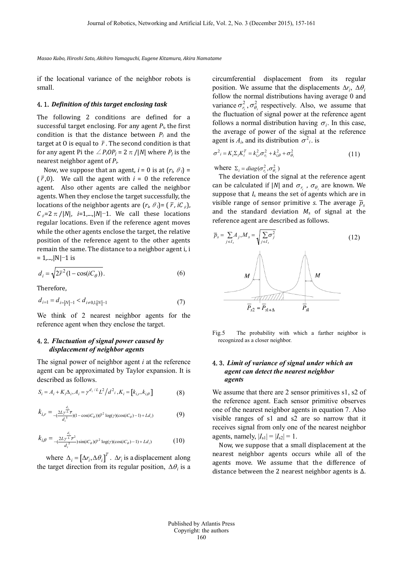*Masao Kubo, Hiroshi Sato, Akihiro Yamaguchi, Eugene Kitamura, Akira Namatame*

if the locational variance of the neighbor robots is small.

#### 4.1.*Definition of this target enclosing task*

The following 2 conditions are defined for a successful target enclosing. For any agent *Pi*, the first condition is that the distance between *Pi* and the target at 0 is equal to  $\bar{r}$ . The second condition is that for any agent Pi the  $\angle P_iOP_i = 2 \pi / |N|$  where  $P_i$  is the nearest neighbor agent of *Pi*.

Now, we suppose that an agent,  $i = 0$  is at  $(r_i, \theta_i) =$  $(\bar{r},0)$ . We call the agent with  $i = 0$  the reference agent. Also other agents are called the neighbor agents. When they enclose the target successfully, the locations of the neighbor agents are  $(r_i, \theta_i) = (\overline{r}, iC_{\theta})$ ,  $C_{\theta}$ =2π/|*N*|, *i*=1,...,|*N*|−1. We call these locations regular locations. Even if the reference agent moves while the other agents enclose the target, the relative position of the reference agent to the other agents remain the same. The distance to a neighbor agent i, i = 1,...,|N|−1 is

$$
d_i = \sqrt{2\overline{r}^2 (1 - \cos(iC_\theta))}.
$$
 (6)

Therefore,

$$
d_{i=1} = d_{i=|N|-1} < d_{i \neq 0,1, |N|-1} \tag{7}
$$

We think of 2 nearest neighbor agents for the reference agent when they enclose the target.

# 4.2.*Fluctuation of signal power caused by displacement of neighbor agents*

The signal power of neighbor agent *i* at the reference agent can be approximated by Taylor expansion. It is described as follows.

$$
S_i = A_i + K_i \Delta_i, A_i = \gamma^{d_i/L} L^2 / d^2_i, K_i = [k_{i,r}, k_{i,\theta}]
$$
 (8)

$$
k_{i,r} = \frac{d_i}{\frac{2L\gamma L \bar{r}}{d_i^5}} (1 - \cos(iC_\theta)) (\bar{r}^2 \log(\gamma)(\cos(iC_\theta) - 1) + L d_i)
$$
(9)

$$
k_{i,\theta} = \frac{d_i}{d_i^5} \sum_{j}^{L} \sin(iC_{\theta})(\bar{r}^2 \log(\gamma)(\cos(iC_{\theta}) - 1) + L d_i)
$$
 (10)

where  $\Delta_i = [\Delta r_i, \Delta \theta_i]^T$ .  $\Delta r_i$  is a displacement along the target direction from its regular position,  $\Delta\theta_i$  is a

circumferential displacement from its regular position. We assume that the displacements  $\Delta r_i$ ,  $\Delta \theta_i$ follow the normal distributions having average 0 and variance  $\sigma_{r_i}^2$ ,  $\sigma_{\theta_i}^2$  respectively. Also, we assume that the fluctuation of signal power at the reference agent follows a normal distribution having  $\sigma_i$ . In this case, the average of power of the signal at the reference agent is  $A_i$ , and its distribution  $\sigma^2$ , is

$$
\sigma^2_{\phantom{i}i} = K_i \Sigma_i K_i^T = k_{i,r}^2 \sigma_{r_i}^2 + k_{i,\theta}^2 + \sigma_{\theta_i}^2 \tag{11}
$$

where  $\Sigma_i = diag(\sigma_{r_i}^2, \sigma_{\theta_i}^2)$ 

The deviation of the signal at the reference agent can be calculated if  $|N|$  and  $\sigma_{r_i}$ ,  $\sigma_{\theta_i}$  are known. We suppose that *I*<sup>s</sup> means the set of agents which are in visible range of sensor primitive *s*. The average  $\bar{p}_s$ and the standard deviation *M*<sup>s</sup> of signal at the reference agent are described as follows.



Fig.5 The probability with which a farther neighbor is recognized as a closer neighbor.

## 4.3.*Limit of variance of signal under which an agent can detect the nearest neighbor agents*

We assume that there are 2 sensor primitives s1, s2 of the reference agent. Each sensor primitive observes one of the nearest neighbor agents in equation 7. Also visible ranges of s1 and s2 are so narrow that it receives signal from only one of the nearest neighbor agents, namely,  $|I_{s1}| = |I_{s2}| = 1$ .

Now, we suppose that a small displacement at the nearest neighbor agents occurs while all of the agents move. We assume that the difference of distance between the 2 nearest neighbor agents is ∆.